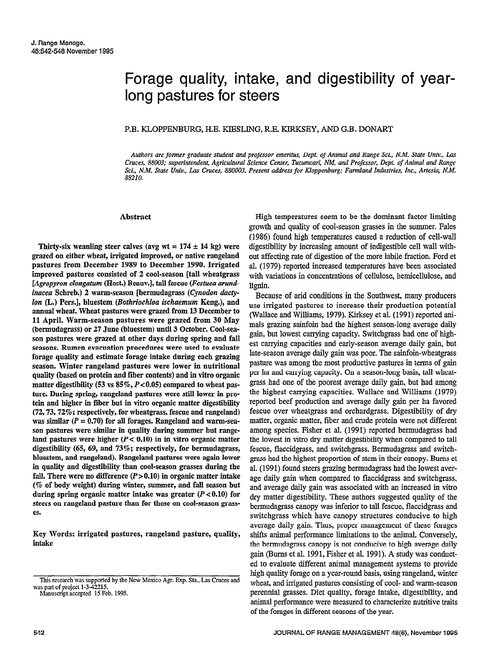# Forage quality, intake, and digestibility of yearlong pastures for steers

## P.B. KLOPPENBURG, H.E. KIESLING, R.E. KIRKSEY, AND G.B. DONART

Authors are former graduate student and professor emeritus, Dept. of Animal and Range Sci., N.M. State Univ., Las Cruces, 88003; superintendent, Agricultural Science Center, Tucumcari, NM, and Professor, Dept. of Animal and Range Sci., N.M. State Univ., Lar Cruces, 880003. Present address for Kloppenburg: Farmland Industries, Inc., Artesia, N.M. 88210.

#### Abstract

Thirty-six weaning steer calves (avg wt =  $174 \pm 14$  kg) were grazed on either wheat, irrigated improved, or native rangeland pastures from December 1989 to December 1990. Irrigated improved pastures consisted of 2 cool-season [tall wheatgrass [Agropyron elongatum (Host.) Beauv.], tall fescue (Festuca arundinacea Schreb.) 2 warm-season [bermudagrass (Cynodon dacty-Ion (L.) Pers.], bluestem (Bothriochloa ischaemum Keng.), and annual wheat. Wheat pastures were grazed from 13 December to 11 April. Warm-season pastures were grazed from 30 May (bermudagrass) or 27 June (bluestem) until 3 October. Cool-season pastures were grazed at other days during spring and fail seasons. Rumen evacuation procedures were used to evaluate forage quality and estimate forage intake during each grazing season. Winter rangeland pastures were lower in nutritional stastik (based on protein and fiber content of the interactional quanty (53 vs 85%) compared to which we consider the matter of games  $t$  ture. Depending to  $\sigma$  is to  $\sigma$  if  $t \to \infty$  in particular to which pasture ture. During spring, rangeland pastures were still lower in protein and higher in fiber but in vitro organic matter digestibility  $(72, 73, 72\%;$  respectively, for wheatgrass, fescue and rangeland) was similar  $(P = 0.70)$  for all forages. Rangeland and warm-season pastures were similar in quality during summer but rangeland pastures were higher  $(P < 0.10)$  in in vitro organic matter digestibility (65, 69, and  $73\%$ ; respectively, for bermudagrass, bluestem, and rangeland). Rangeland pastures were again lower in quality and digestibility than cool-season grasses during the fall. There were no difference  $(P > 0.10)$  in organic matter intake  $(\%$  of body weight) during winter, summer, and fall season but during spring organic matter intake was greater  $(P<0.10)$  for steers on rangeland pasture than for those on cool-season grasses.

Key Words: irrigated pastures, rangeland pasture, quality, intake

Manuscript accepted 15 Feb. 1995.

High temperatures seem to be the dominant factor limiting growth and quality of cool-season grasses in the summer. Fales (1986) found high temperatures caused a reduction of cell-wall digestibility by increasing amount of indigestible cell wall without affecting rate of digestion of the more labile fraction. Ford et al. (1979) reported increased temperatures have been associated with variations in concentrations of cellulose, hemicellulose, and lignin. Because of arid conditions in the Southwest, many producers

produce of and conditions in the bouthwest, many production (Wallace and Williams, 1979). Kirksey et al. (1991) reported and reported and reported and reported and report (Wallace and Williams, 1979). Kirksey et al. (1991) reported ani-<br>mals grazing sainfoin had the highest season-long average daily gain, but lowest carrying capacity. Switchgrass had one of highest carrying capacities and early-season average daily gain, but late-season average daily gain, but was possible was possible was possible was possible was possible was possibl part season average dany gain was poor. The samion-wheat grass pasture was among the most productive pastures in terms of gain per ha and carrying capacity. On a season-long basis, tall wheatgrass had one of the poorest average daily gain, but had among the highest carrying capacities. Wallace and Williams (1979) reported beef production and average daily gain per ha favored fescue over wheatgrass and orchardgrass. Digestibility of dry matter, organic matter, fiber and crude protein were not different among species. Fisher et al. (1991) reported bermudagrass had the lowest in vitro dry matter digestibility when compared to tall fescue, flaccidgrass, and switchgrass. Bermudagrass and switchgrass had the highest proportion of stem in their canopy. Burns et al. (1991) found steers grazing bermudagrass had the lowest average daily gain when compared to flacciderass and switcherass. and average daily gain was associated with an increased in vitro dry matter digestibility. These authors suggested quality of the bermudagrass canopy was inferior to tall fescue, flaccidgrass and switchgrass which have canopy structures conducive to high. average daily gain. Thus, proper management of these forages shifts animal performance limitations to the animal. Conversely, the bermudagrass canopy is not conductive to high average daily. gain (Burns et al. 1991, Fisher et al. 1991). A study was conducted to evaluate different animal management systems to provide high quality forage on a year-round basis, using rangeland, winter wheat, and irrigated pastures consisting of cool- and warm-season perennial grasses. Diet quality, forage intake, digestibility, and animal performance were measured to characterize nutritive traits of the forages in different seasons of the year.

This research was supported by the New Mexico Agr. Exp. Sta., Las Cruces and was part of project 1-3-42215.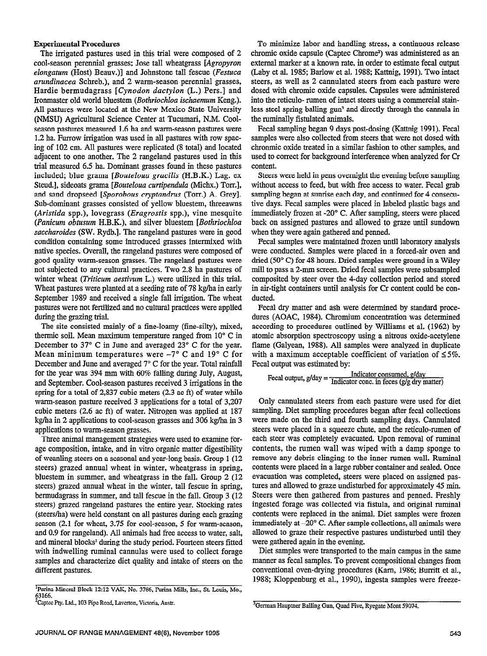### Experimental Procedures

The irrigated pastures used in this trial were composed of 2 cool-season perennial grasses; Jose tall wheatgrass [Agropyron elongatum (Host) Beauv.)] and Johnstone tall fescue (Festuca arundinacea Schreb.), and 2 warm-season perennial grasses, Hardie bermudagrass [Cynodon dactylon (L.) Pers.] and Ironmaster old world bluestem (Bothriochloa ischaemum Keng.). All pastures were located at the New Mexico State University (NMSU) Agricultnral Science Center at Tucumari, N.M. Coolseason pastures measured 1.6 ha and warm-season pastures were 1.2 ha. Furrow irrigation was used in all pastures with row spacing of 102 cm. All pastures were replicated (8 total) and located adjacent to one another. The 2 rangeland pastures used in this trial measured 6.5 ha. Dominant grasses found in these pastures included; blue grama [Bouteloua gracilis (H.B.K.) Lag. ex Steud.], sideoats grama [*Bouteloua curtipendula* (Michx.) Torr.], and sand dropseed [Sporobous cryptandrus (Torr.) A. Grey]. Sub-dominant grasses consisted of yellow bluestem, threeawns (Aristida spp.), lovegrass (*Eragrostis* spp.), vine mesquite (Panicum obtusum H.B.K.), and silver bluestem [Bothriochloa saccharoides (SW. Rydb.]. The rangeland pastures were in good condition containing some introduced grasses intermixed with native species. Overall, the rangeland pastures were composed of good quality warm-season grasses. The rangeland pastures were not subjected to any cultural practices. Two 2.8 ha pastures of winter wheat (Triticum aestivum L.) were utilized in this trial. Wheat pastures were planted at a seeding rate of 78 kg/ha in early September 1989 and received a single fall irrigation. The wheat pastures were not fertilized and no cultural practices were applied during the grazing trial.

The site consisted mainly of a fine-loamy (fine-silty), mixed, thermic soil. Mean maximum temperature ranged from 10" C in December to 37° C in June and averaged 23° C for the year. Mean minimum temperatures were  $-7^{\circ}$  C and 19 $^{\circ}$  C for December and June and averaged 7" C for the year. Total rainfall for the year was 394 mm with 60% falling during July, August, and September. Cool-season pastures received 3 irrigations in the spring for a total of 2,837 cubic meters (2.3 ac ft) of water while warm-season pasture received 3 applications for a total of 3,207 cubic meters (2.6 ac ft) of water. Nitrogen was applied at 187 kg/ha in 2 applications to cool-season grasses and 306 kg/ha in 3 applications to warm-season grasses. phendons to while-season grasses.<br>There were used to examine for-

age composition, interesting organizes were used to examine forage composition, intake, and in vitro organic matter digestibility of weanling steers on a seasonal and year-long basis. Group 1 (12) steers) grazed annual wheat in winter, wheatgrass in spring, bluestem in summer, and wheat grass in the fall. Group 2 (12) steers) grazed annual wheat in the winter, tall fescue in spring, bermudagrass in summer, and tall fescue in the fall. Group 3 (12) steers) grazed rangeland pastures the entire year. Stocking rates (steers/ha) were held constant on all pastures during each grazing season (2.1 for wheat,  $3.75$  for cool-season, 5 for warm-season, and 0.9 for rangeland). All animals had free access to water, salt, and mineral blocks' during the study period. Fourteen steers fitted with indwelling ruminal cannulas were used to collect forage samples and characterize diet quality and intake of steers on the different pastures.

To minimize labor and handling stress, a continuous release chromic oxide capsule (Captec Chrome\*) was administered as an external marker at a known rate, in order to estimate fecal output (Laby et al. 1985; Barlow et al. 1988; Kattnig, 1991). Two intact steers, as well as 2 cannulated steers from each pasture were dosed with chromic oxide capsules. Capsules were administered into the reticulo- rumen of intact steers using a commercial stainless steel spring balling gun<sup>3</sup> and directly through the cannula in the rnminally fistulated animals.

Fecal sampling began 9 days post-dosing (Kattnig 1991). Fecal samples were also collected from steers that were not dosed with chromnic oxide treated in a similar fashion to other samples, and used to correct for background interference when analyzed for Cr content.

Steers were held in pens overnight the evening before sampling without access to feed, but with free access to water. Fecal grab sampling began at sunrise each day, and continued for 4 consecutive days. Fecal samples were placed in labeled plastic bags and immediately frozen at -20" C. After sampling, steers were placed back on assigned pastures and allowed to graze until sundown when they were again gathered and penned.

Fecal samples were maintained frozen until laboratory analysis were conducted. Samples were placed in a forced-air oven and dried (50" C) for 48 hours. Dried samples were ground in a Wiley mill to pass a 2-mm screen. Dried fecal samples were subsampled composited by steer over the 4-day collection period and stored in air-tight containers until analysis for Cr content could be conducted.

Fecal dry matter and ash were determined by standard procedures (AOAC, 1984). Chromium concentration was determined according to procedures outlined by Williams et al. (1962) by atomic absorption spectroscopy using a nitrous oxide-acetylene flame (Galyean, 1988). All samples were analyzed in duplicate with a maximum acceptable coefficient of variation of  $\leq 5\%$ . Fecal output was estimated by:

$$
Fecal output, g/day = \frac{Indicator consumed, g/day}{Indicator conc. in feces (g/g dry matter)}
$$

Only cannulated steers from each pasture were used for diet sampling. Diet sampling procedures began after fecal collections were made on the third and fourth sampling days. Cannulated were made on the time and fourth sampling days, cannulated steers were placed in a squeeze chute, and the reticulo-rumen of each steer was completely evacuated. Upon removal of ruminal contents, the rumen wall was wiped with a damp sponge to remove any debris clinging to the inner rumen wall. Ruminal contents were placed in a large rubber container and sealed. Once evacuation was completed, steers were placed on assigned pastures and allowed to graze undisturbed for approximately 45 min. Steers were then gathered from pastures and penned. Freshly ingested forage was collected via fistula, and original ruminal. contents were replaced in the animal. Diet samples were frozen immediately at  $-20^{\circ}$  C. After sample collections, all animals were allowed to graze their respective pastures undisturbed until they were gathered again in the evening.

Diet samples were transported to the main campus in the same manner as fecal samples. To prevent compositional changes from conventional oven-drying procedures (Karn, 1986; Burritt et al., 1988; Kloppenburg et al., 1990), ingesta samples were freeze-

<sup>&</sup>lt;sup>1</sup><br>Purina Mineral Block 12:12 VAK, No. 3786, Purina Mills, Inc., St. Louis, Mo., 63166.<br><sup>2</sup>Captec Pty. Ltd., 103 Pipe Road, Laverton, Victoria, Austr.

<sup>3</sup>German Hauptner Balling Gun, Quad Five, Ryegate Mont 59074. <sup>3</sup>German Hauptner Balling Gun, Quad Five, Ryegate Mont 59074.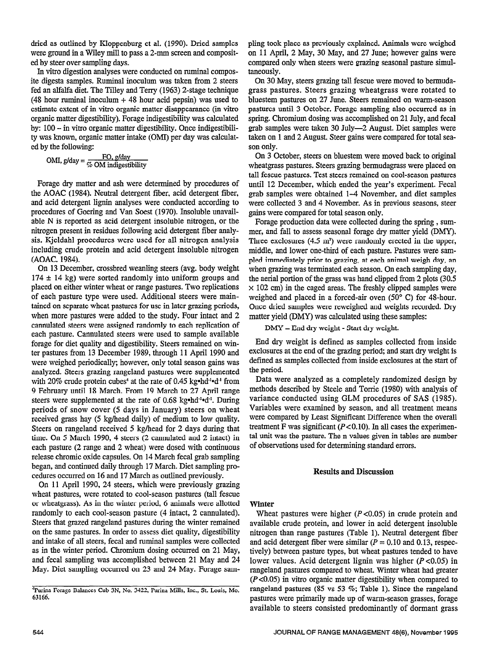dried as outlined by Kloppenburg et al. (1990). Dried samples were ground in a Wiley mill to pass a 2-mm screen and composited by steer over sampling days.

In vitro digestion analyses were conducted on ruminal composite digesta samples. Ruminal inoculum was taken from 2 steers fed an alfalfa diet. The Tilley and Terry (1963) 2-stage technique  $(48$  hour ruminal inoculum  $+ 48$  hour acid pepsin) was used to estimate extent of in vitro organic matter disappearance (in vitro organic matter digestibility). Forage indigestibility was calculated by: 100 - in vitro organic matter digestibility. Once indigestibility was known, organic matter intake (OMI) per day was calculated by the following:

$$
OMI, g/day = \frac{FO, g/day}{\% OM\,\,indigestibility}
$$

Forage dry matter and ash were determined by procedures of the AOAC (1984). Neutral detergent fiber, acid detergent fiber, and acid detergent lignin analyses were conducted according to procedures of Goering and Van Soest (1970). Insoluble unavailable N is reported as acid detergent insoluble nitrogen, or the nitrogen present in residues following acid detergent fiber analysis. Kjeldahl procedures were used for all nitrogen analysis including crude protein and acid detergent insoluble nitrogen (AOAC, 1984).

On 13 December, crossbred weanling steers (avg. body weight  $174 \pm 14$  kg) were sorted randomly into uniform groups and placed on either winter wheat or range pastures. Two replications of each pasture type were used. Additional steers were maintained on separate wheat pastures for use in later grazing periods, when more pastures were added to the study. Four intact and 2 cannulated steers were assigned randomly to each replication of each pasture. Cannulated steers were used to sample available forage for diet quality and digestibility. Steers remained on winter pastures from 13 December 1989, through 11 April 1990 and were weighed periodically; however, only total season gains was analyzed. Steers grazing rangeland pastures were supplemented with 20% crude protein cubes<sup>4</sup> at the rate of 0.45 kg\*hd<sup>-1</sup>\*d<sup>-1</sup> from 9 February until 18 March. From 19 March to 27 April range steers were supplemented at the rate of 0.68 kg•hd<sup>-1</sup>•d<sup>-1</sup>. During periods of snow cover (5 days in January) steers on wheat received grass hay (5 kg/head daily) of medium to low quality.  $S_{\text{S}}$  on  $S_{\text{S}}$  and  $S_{\text{S}}$  is the  $\alpha$  denoted  $S_{\text{S}}$  denoted that  $\alpha$ Steers on rangeland received 5 kg/head for 2 days during that time. On 5 March 1990, 4 steers  $(2 \text{ camulated and } 2 \text{ intact})$  in each pasture (2 range and 2 wheat) were dosed with continuous release chromic oxide capsules. On 14 March fecal grab sampling began, and continued daily through 17 March. Diet sampling procedures occurred on 16 and 17 March as outlined previously.

On 11 April 1990, 24 steers, which were previously grazing wheat pastures, were rotated to cool-season pastures (tall fescue or wheatgrass). As in the winter period, 6 animals were allotted randomly to each cool-season pasture (4 intact, 2 cannulated). Steers that grazed rangeland pastures during the winter remained on the same pastures. In order to assess diet quality, digestibility and intake of all steers, fecal and ruminal samples were collected as in the winter period. Chromium dosing occurred on 21 May, and fecal sampling was accomplished between 21 May and 24 May. Diet sampling occurred on 23 and 24 May. Forage sampling took place as previously explained. Animals were weighed on 11 April, 2 May, 30 May, and 27 June; however gains were compared only when steers were grazing seasonal pasture simultaneously.

On 30 May, steers grazing tall fescue were moved to bermudagrass pastures. Steers grazing wheatgrass were rotated to bluestem pastures on 27 June. Steers remained on warm-season pastures until 3 October. Forage sampling also occurred as in spring. Chromium dosing was accomplished on 21 July, and fecal grab samples were taken 30 July-2 August. Diet samples were taken on 1 and 2 August. Steer gains were compared for total season only.

On 3 October, steers on bluestem were moved back to original wheatgrass pastures. Steers grazing bermudagrass were placed on tall fescue pastures. Test steers remained on cool-season pastures until 12 December, which ended the year's experiment. Fecal grab samples were obtained l-4 November, and diet samples were collected 3 and 4 November. As in previous seasons, steer gains were compared for total season only.

Forage production data were collected during the spring , summer, and fall to assess seasonal forage dry matter yield (DMY). Three exclosures (4.5 m') were randomly erected in the upper, middle, and lower one-third of each pasture. Pastures were sampled immediately prior to grazing, at each animal weigh day, an when grazing was terminated each season. On each sampling day, the aerial portion of the grass was hand clipped from 2 plots (30.5  $\times$  102 cm) in the caged areas. The freshly clipped samples were weighed and placed in a forced-air oven (50° C) for 48-hour. Once dried samples were reweighed and weights recorded. Dry matter yield (DMY) was calculated using these samples:

DMY = End dry weight - Start dry weight.

End dry weight is defined as samples collected from inside exclosures at the end of the grazing period; and start dry weight is defined as samples collected from inside exclosures at the start of the period.

Data were analyzed as a completely randomized design by methods described by Steele and Torrie (1980) with analysis of variance conducted using GLM procedures of SAS (1985). variable conducted asing GER procedures of SAS (1705). Variables were examined by season, and all treatment means were compared by Least Significant Difference when the overall treatment F was significant ( $P < 0.10$ ). In all cases the experimenthe unit was significant  $(t \sim 0.10)$ , in an cases the experimenttat unit was the pasture. The n values given in tables

## Results and Discussion

## Winter

where  $\rho$  is a strong protein and protein and protein and protein and protein and protein and protein and protein and protein and protein and protein and protein and protein and protein and protein and protein and protein wheat pastures were ingher  $(r \le 0.05)$  in crude protein and available crude protein, and lower in acid detergent insoluble nitrogen than range pastures (Table 1). Neutral detergent fiber and acid detergent fiber were similar ( $P = 0.10$  and 0.13, respectively) between pasture types, but wheat pastures tended to have lower values. Acid detergent lignin was higher  $(P<0.05)$  in rangeland pastures compared to wheat. Winter wheat had greater  $(P<0.05)$  in vitro organic matter digestibility when compared to rangeland pastures (85 vs 53 %; Table 1). Since the rangeland pastures were primarily made up of warm-season grasses, forage<br>available to steers consisted predominantly of dormant grass

hrina Forage Balances Cub 3N, No. 3422, Purina Mills, Inc., St. Louis, MO. <sup>4</sup>Purina Forage Balances Cub 3N, No. 3422, Purina Mills, Inc., St. Louis, Mo. 63166.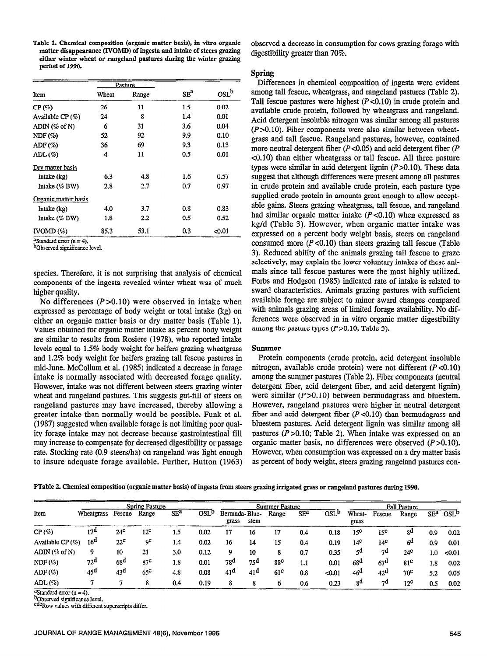Table 1. Chemical composition (organic matter basis), in vitro organic matter disappearance (JYOMD) of ingesta and intake of steers grazing either winter wheat or rangeland pastures during the winter grazing period of 1990.

|                      |       | Pasture |                 |         |
|----------------------|-------|---------|-----------------|---------|
| Item                 | Wheat | Range   | SE <sup>a</sup> | $OSL^b$ |
| CP(%)                | 26    | 11      | 1.5             | 0.02    |
| Available CP $(\%)$  | 24    | 8       | 1.4             | 0.01    |
| $ADIN$ (% of N)      | 6     | 31      | 3.6             | 0.04    |
| NDF(%)               | 52    | 92      | 9.9             | 0.10    |
| ADF(%)               | 36    | 69      | 9.3             | 0.13    |
| $ADL($ % $)$         | 4     | 11      | 0.5             | 0.01    |
| Dry matter basis     |       |         |                 |         |
| Intake (kg)          | 6.3   | 4.8     | 1.6             | 0.57    |
| Intake $(\%$ BW)     | 2.8   | 2.7     | 0.7             | 0.97    |
| Organic matter basis |       |         |                 |         |
| Intake (kg)          | 4.0   | 3.7     | 0.8             | 0.83    |
| Intake $(\%$ BW)     | 1.8   | 2.2     | 0.5             | 0.52    |
| $IVOMD(\%)$          | 85.3  | 53.1    | 0.3             | <0.01   |

Standard error  $(n = 4)$ .

bObscrved significance level.

species. Therefore, it is not surprising that analysis of chemical components of the ingesta revealed winter wheat was of much higher quality.

No differences  $(P > 0.10)$  were observed in intake when expressed as percentage of body weight or total intake (kg) on either an organic matter basis or dry matter basis (Table 1). Values obtained for organic matter intake as percent body weight are similar to results from Rosiere (1978), who reported intake levels equal to 1.5% body weight for heifers grazing wheatgrass and 1.2% body weight for heifers grazing tall fescue pastures in mid-June. McCollum et al. (1985) indicated a decrease in forage intake is normally associated with decreased forage quality. However, intake was not different between steers grazing winter wheat and rangeland pastures. This suggests gut-fill of steers on rangeland pastures may have increased, thereby allowing a greater intake than normally would be possible. Funk et al. (1987) suggested when available forage is not limiting poor qual- $(1987)$  suggested when available forage is not limiting poor quality forage intake may not decrease because gastrointestinal fill may increase to compensate for decreased digestibility or passage rate. Stocking rate (0.9 steers/ha) on rangeland was light enough to insure adequate forage available. Further, Hutton (1963)

observed a decrease in consumption for cows grazing forage with digestibility greater than 70%.

## Spring

Differences in chemical composition of ingesta were evident among tall fescue, wheatgrass, and rangeland pastures (Table 2). Tall fescue pastures were highest  $(P<0.10)$  in crude protein and available crude protein, followed by wheatgrass and rangeland. Acid detergent insoluble nitrogen was similar among all pastures  $(P>0.10)$ . Fiber components were also similar between wheatgrass and tall fescue. Rangeland pastures, however, contained more neutral detergent fiber  $(P<0.05)$  and acid detergent fiber  $(P<0.05)$ ~0.10) than either wheatgrass or tall fescue. All three pasture types were similar in acid detergent lignin  $(P>0.10)$ . These data suggest that although differences were present among all pastures in crude protein and available crude protein, each pasture type supplied crude protein in amounts great enough to allow acceptable gains. Steers grazing wheatgrass, tall fescue, and rangeland had similar organic matter intake  $(P<0.10)$  when expressed as kg/d (Table 3). However, when organic matter intake was expressed on a percent body weight basis, steers on rangeland consumed more  $(P<0.10)$  than steers grazing tall fescue (Table 3). Reduced ability of the animals grazing tall fescue to graze selectively, may explain the lower voluntary intakes of these animals since tall fescue pastures were the most highly utilized. Forbs and Hodgson (1985) indicated rate of intake is related to sward characteristics. Animals grazing pastures with sufficient available forage are subject to minor sward changes compared with animals grazing areas of limited forage availability. No differences were observed in in vitro organic matter digestibility among the pasture types  $(P>0.10;$  Table 3).

## Summer

Protein components (crude protein, acid detergent insoluble nitrogen, available crude protein) were not different  $(P<0.10)$ among the summer pastures (Table 2). Fiber components (neutral diffusion fiber, and actual determinister fiber, and according the action of  $\mathbb{C}^1$ detergent fiber, acid detergent fiber, and acid detergent lignin) were similar  $(P > 0.10)$  between bermudagrass and bluestem. However, rangeland pastures were higher in neutral detergent fiber and acid determines were ingered in heurige detergent fiber and acid detergent fiber  $(P<0.10)$  than bermudagrass and bluestem pastures. Acid detergent lignin was similar among all pastures  $(P>0.10;$  Table 2). When intake was expressed on an  $\mu$  >0.10, 1 and 2). Then make was expressed on all  $\mu$  $\sigma$ game matter basis, no directnees were observed  $\mu$   $\sim$ 0.10). However, when consumption was expressed on a dry matter basis as percent of body weight, steers grazing rangeland pastures con-

|                    | <b>Spring Pasture</b> |                 |                 |                 |                        | Summer Pasture         |                 |                 |                 |                        | <b>Fall Pasture</b> |                 |                 |                  |                        |
|--------------------|-----------------------|-----------------|-----------------|-----------------|------------------------|------------------------|-----------------|-----------------|-----------------|------------------------|---------------------|-----------------|-----------------|------------------|------------------------|
| Item               | Wheatgrass            | Fescue          | Range           | SE <sup>a</sup> | <b>OSL<sup>b</sup></b> | Bermuda-Blue-<br>grass | stem            | Range           | SE <sup>a</sup> | <b>OSL<sup>b</sup></b> | Wheat-<br>grass     | Fescue          | Range           | SE <sup>a</sup>  | <b>OSL<sup>b</sup></b> |
| $CP($ % $)$        | 17 <sup>d</sup>       | $24^\circ$      | 12 <sup>c</sup> | 1.5             | 0.02                   | 17                     | 16              | 17              | 0.4             | 0.18                   | 15 <sup>c</sup>     | 15 <sup>c</sup> | ga              | 0.9              | 0.02                   |
| Available CP $(%)$ | 16 <sup>d</sup>       | 22 <sup>c</sup> | ŋС              | 1.4             | 0.02                   | 16                     | 14              | 15              | 0.4             | 0.19                   | $14^\circ$          | $14^\circ$      | 6 <sup>d</sup>  | 0.9              | 0.01                   |
| $ADIN$ (% of N)    | 9                     | 10              | 21              | 3.0             | 0.12                   | 9                      | 10              | 8               | 0.7             | 0.35                   | 5 <sup>d</sup>      | 7 <sup>d</sup>  | 24 <sup>c</sup> | 1.0 <sub>1</sub> | < 0.01                 |
| $NDF($ % $)$       | $72^{\rm d}$          | 68 <sup>d</sup> | 87 <sup>c</sup> | 1.8             | 0.01                   | 78 <sup>d</sup>        | 75 <sup>d</sup> | 88 <sup>c</sup> | 1.1             | 0.01                   | 68 <sup>d</sup>     | 67 <sup>d</sup> | 81 <sup>c</sup> | 1.8              | 0.02                   |
| ADF(%)             | 45 <sup>d</sup>       | 43 <sup>d</sup> | $65^\circ$      | 4.8             | 0.08                   | 41 <sup>d</sup>        | 41 <sup>d</sup> | 61 <sup>c</sup> | 0.8             | < 0.01                 | 46 <sup>d</sup>     | 42 <sup>d</sup> | 70 <sup>c</sup> | 5.2              | 0.05                   |
| $ADL($ % $)$       |                       |                 | 8               | 0.4             | 0.19                   | 8                      | 8               | 6               | 0.6             | 0.23                   | 8q                  | 7d              | 12 <sup>c</sup> | 0.5              | 0.02                   |

<sup>a</sup>Standard error (n = 4).

<sup>b</sup>Observed significance level.<br><sup>cde</sup>Row values with different superscripts differ.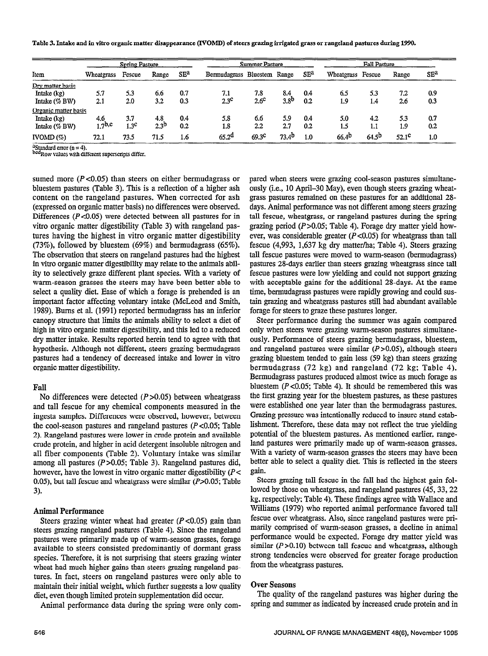Table 3. Intake and in vitro organic matter disappearance (I'VOMD) of steers grazing irrigated grass or rangeland pastures during 1990.

| Item                 | <b>Spring Pasture</b> |                  |           |                 | <b>Summer Pasture</b> |                   |                   |                 | <b>Fall Pasture</b> |                   |              |                 |
|----------------------|-----------------------|------------------|-----------|-----------------|-----------------------|-------------------|-------------------|-----------------|---------------------|-------------------|--------------|-----------------|
|                      | Wheatgrass            | Fescue           | Range     | SE <sup>a</sup> | Bermudagrass Bluestem |                   | Range             | SE <sup>a</sup> | Wheatgrass Fescue   |                   | Range        | SE <sup>2</sup> |
| Dry matter basis     |                       |                  |           |                 |                       |                   |                   |                 |                     |                   |              |                 |
| Intake (kg)          | 5.7                   | 5.3              | 6.6       | 0.7             | 7.1                   | 7.8               | 8.4               | 0.4             | 6.5                 | 5.3               | 7.2          | 0.9             |
| Intake $(\%$ BW)     | 2.1                   | 2.0              | 3.2       | 0.3             | $2.3^\circ$           | $2.6^\circ$       | 3.8 <sup>b</sup>  | 0.2             | 1.9                 | 1.4               | 2.6          | 0.3             |
| Organic matter basis |                       |                  |           |                 |                       |                   |                   |                 |                     |                   |              |                 |
| Intake $(kg)$        | 4.6                   | 3.7              | 4.8       | 0.4             | 5.8                   | 6.6               | 5.9               | 0.4             | 5.0                 | 42                | 5.3          | 0.7             |
| Intake $(%BW)$       | 1.7 <sup>b,c</sup>    | 1.3 <sup>c</sup> | $2.3^{0}$ | 0.2             | 1.8                   | $2.2\phantom{0}$  | 2.7               | 0.2             | 1.5                 | 1.1               | 1.9          | 0.2             |
| IVOMD(%)             | 72.1                  | 73.5             | 71.5      | 1.6             | 65.2 <sup>d</sup>     | 69.3 <sup>c</sup> | 73.4 <sup>b</sup> | 1.0             | 66.4 <sup>b</sup>   | 64.5 <sup>b</sup> | $52.1^\circ$ | 1.0             |

 $^{4}$ Standard error (n = 4).<br>bcdp.ou. values with different superscripts differ.

sumed more  $(P<0.05)$  than steers on either bermudagrass or bluestem pastures (Table 3). This is a reflection of a higher ash content on the rangeland pastures. When corrected for ash (expressed on organic matter basis) no differences were observed. Differences ( $P < 0.05$ ) were detected between all pastures for in vitro organic matter digestibility (Table 3) with rangeland pastures having the highest in vitro organic matter digestibility (73%), followed by bluestem (69%) and bermudagrass (65%). The observation that steers on rangeland pastures had the highest in vitro organic matter digestibility may relate to the animals ability to selectively graze different plant species. With a variety of warm-season grasses the steers may have been better able to select a quality diet. Ease of which a forage is prehended is an important factor affecting voluntary intake (McLeod and Smith, 1989). Burns et al. (1991) reported bermudagrass has an inferior canopy structure that limits the animals ability to select a diet of high in vitro organic matter digestibility, and this led to a reduced dry matter intake. Results reported herein tend to agree with that hypothesis. Although not different, steers grazing bermudagrass pastures had a tendency of decreased intake and lower in vitro organic matter digestibility.

### Fall

No differences were detected (P>O.O5) behveen wheatgrass and directives were detected  $\left(1 \times 0.03\right)$  between wheat grass and tall fescue for any chemical components measured in the ingesta samples. Differences were observed, however, between the cool-season pastures and rangeland pastures  $(P<0.05$ ; Table 2). Rangeland pastures were lower in crude protein and available crude protein, and higher in acid detergent insoluble nitrogen and all fiber components (Table 2). Voluntary intake was similar among all pastures ( $P > 0.05$ ; Table 3). Rangeland pastures did, however, have the lowest in vitro organic matter digestibility ( $P$  < 0.05), but tall fescue and wheatgrass were similar  $(P>0.05$ ; Table 3).

#### Animal Performance nimal Performance

Steers grazing winter wheat had greater ( $P < 0.05$ ) gain than steers grazing rangeland pastures (Table 4). Since the rangeland pastures were primarily made up of warm-season grasses, forage available to steers consisted predominantly of dormant grass species. Therefore, it is not surprising that steers grazing winter wheat had much higher gains than steers grazing rangeland pastures. In fact, steers on rangeland pastures were only able to maintain their initial weight, which further suggests a low quality diet, even though limited protein supplementation did occur.

Animal performance data during the spring were only com-

pared when steers were grazing cool-season pastures simultaneously (i.e., 10 April-30 May), even though steers grazing wheatgrass pastures remained on these pastures for an additional 28 days. Animal performance was not different among steers grazing tall fescue, wheatgrass, or rangeland pastures during the spring grazing period  $(P>0.05$ ; Table 4). Forage dry matter yield however, was considerable greater  $(P<0.05)$  for wheatgrass than tall fescue (4,993, 1,637 kg dry matter/ha; Table 4). Steers grazing tall fescue pastures were moved to warm-season (bermudagrass) pastures 28-days earlier than steers grazing wheatgrass since tall fescue pastures were low yielding and could not support grazing with acceptable gains for the additional 28-days. At the same time, bermudagrass pastures were rapidly growing and could sustain grazing and wheatgrass pastures still had abundant available forage for steers to graze these pastures longer.

Steer performance during the summer was again compared only when steers were grazing warm-season pastures simultaneously. Performance of steers grazing bermudagrass, bluestem, and rangeland pastures were similar  $(P>0.05)$ , although steers grazing bluestem tended to gain less (59 kg) than steers grazing bermudagrass (72 kg) and rangeland (72 kg; Table 4). bermudagrass (12 kg) and rangerand (12 kg, rabit 4). Bermudagrass pastures produced almost twice as much forage as bluestem ( $P < 0.05$ ; Table 4). It should be remembered this was the first grazing year for the bluestem pastures, as these pastures. were established one year later than the bermudagrass pastures. Grazing pressure was intentionally reduced to insure stand establishment. Therefore, these data may not reflect the true yielding. potential of the bluestem pastures. As mentioned earlier, rangeland pastures were primarily made up of warm-season grasses. With a variety of warm-season grasses the steers may have been better able to select a quality diet. This is reflected in the steers gain.  $\mathbf{m}$ ,

steers grazing tall rescue in the rail had the highest gain rol lowed by those on wheatgrass, and rangeland pastures (45, 33, 22). kg. respectively: Table 4). These findings agree with Wallace and Williams (1979) who reported animal performance favored tall fescue over wheatgrass. Also, since rangeland pastures were primarily comprised of warm-season grasses, a decline in animal performance would be expected. Forage dry matter yield was similar ( $P > 0.10$ ) between tall fescue and wheatgrass, although strong tendencies were observed for greater forage production<br>from the wheatgrass pastures.

## **Over Seasons**

The quality of the rangeland pastures was higher during the spring and summer as indicated by increased crude protein and in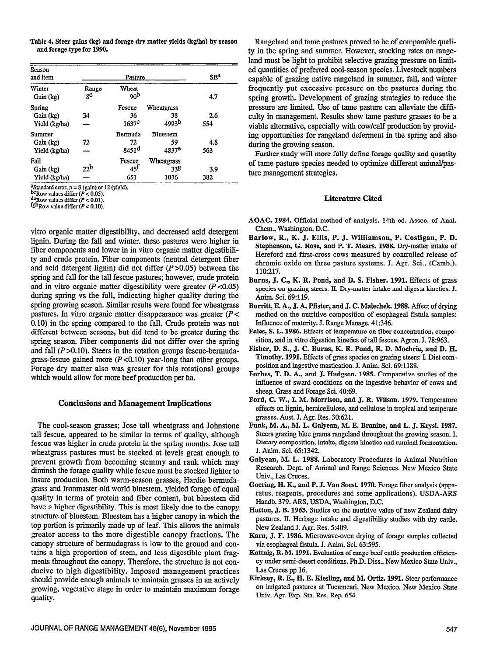Table 4. Steer gains (kg) and forage dry matter yields (kg/ha) by season and forage type for 1990.

| Season<br>and item  |                 | Pasture                  |                   | SE <sup>a</sup> |
|---------------------|-----------------|--------------------------|-------------------|-----------------|
| Winter<br>Gain (kg) | Range<br>gΦ     | Wheat<br>90 <sup>b</sup> |                   | 4.7             |
| Spring              |                 | Fescue                   | Wheatgrass        |                 |
| Gain (kg)           | 34              | 36                       | 38                | 2.6             |
| Yield (kg/ha)       |                 | 1637 <sup>c</sup>        | 4993 <sup>b</sup> | 554             |
| Summer              |                 | Bermuda                  | <b>Bluestem</b>   |                 |
| Gain (kg)           | 72              | 72                       | 59                | 4.8             |
| Yield (kg/ha)       |                 | 8451 <sup>d</sup>        | 4837 <sup>e</sup> | 563             |
| Fall                |                 | Fescue                   | Wheatgrass        |                 |
| Gain (kg)           | 22 <sup>b</sup> | 45 <sup>t</sup>          | 338               | 3.9             |
| Yield (kg/ha)       |                 | 651                      | 1036              | 382             |

<sup>a</sup>Standard error,  $n = 8$  (gain) or 12 (yield).

bcRow values differ ( $P < 0.05$ ).

 $d^2$ Row values differ  $(P < 0.01)$ .

fghRow value differ  $(P < 0.10)$ .

vitro organic matter digestibility, and decreased acid detergent lignin. During the fall and winter, these pastures were higher in fiber components and lower in in vitro organic matter digestibility and crude protein. Fiber components (neutral detergent fiber and acid detergent lignin) did not differ  $(P>0.05)$  between the spring and fall for the tall fescue pastures; however, crude protein and in vitro organic matter digestibility were greater  $(P<0.05)$ during spring vs the fall, indicating higher quality during the spring growing season. Similar results were found for wheatgrass pastures. In vitro organic matter disappearance was greater  $(P<$ 0.10) in the spring compared to the fall. Crude protein was not different between seasons, but did tend to be greater during the spring season. Fiber components did not differ over the spring and fall  $(P>0.10)$ . Steers in the rotation groups fescue-bermudagrass-fescue gained more  $(P<0.10)$  year-long than other groups. Forage dry matter also was greater for this rotational groups which would allow for more beef production per ha.

#### Conclusions and Management Implications

The cool-season grasses; Jose tall wheatgrass and Johnstone tall fescue, appeared to be similar in terms of quality, although fescue was higher in crude protein in the spring months. Jose tall wheatgrass pastures must be stocked at levels great enough to prevent growth from becoming stemmy and rank which may diminsh the forage quality while fescue must be stocked lighter to insure production. Both warm-season grasses, Hardie bermudagrass and Ironmaster old world bluestem, yielded forage of equal quality in terms of protein and fiber content, but bluestem did have a higher digestibility. This is most likely due to the canopy structure of bluestem. Bluestem has a higher canopy in which the top portion is primarily made up of leaf. This allows the animals greater access to the more digestible canopy fractions. The canopy structure of bermudagrass is low to the ground and contains a high proportion of stem, and less digestible plant fiagments throughout the canopy. Therefore, the structure is not conducive to high digestibility. Imposed management practices should provide enough animals to maintain grasses in an actively growing, vegetative stage in order to maintain maximum forage quality.

Rangeland and tame pastures proved to be of comparable quality in the spring and summer. However, stocking rates on rangeland must be light to prohibit selective grazing pressure on limited quantities of preferred cool-season species. Livestock numbers capable of grazing native rangeland in summer, fall, and winter frequently put excessive pressure on the pastures during the spring growth. Development of grazing strategies to reduce the pressure are limited. Use of tame pasture can alleviate the difficulty in management. Results show tame pasture grasses to be a viable alternative, especially with cow/calf production by providing opportunities for rangeland deferment in the spring and also during the growing season.

Further study will more fully define forage quality and quantity of tame pasture species needed to optimize different animal/pasture management strategies.

#### Literature Cited

- AOAC. 1984. Official method of analysis. 14th ed. Assoc. of Anal. Chem., Washington, D.C.
- Barlow, R., K. J. Ellis, P. J. Williamson, P. Costigan, P. D. Stephenson, G. Rose, and P. T. Mears. 1988. Dry-matter intake of Hereford and first-cross cows measured by controlled release of chromic oxide on three pasture systems. J. Agr. Sci., (Camb.). 110:217.
- Bums, J. C., K. R. Pond, and D. S. Fisher. 1991. Effects of grass species on grazing steers: II. Dry-matter intake and digesta kinetics. J. Anim. Sci. 69:119.
- Burritt, E. A., J. A. Pfister, and J. C. Malechek. 1988. Affect of drying method on the nutritive composition of esophageal fistula samples: Influence of maturity. J. Range Manage. 41:346.
- Fales, S. L. 1986. Effects of temperature on fiber concentration, composition, and in vitro digestion kinetics of tall fescue. Apron. J. 78:963.
- Fisher, D. S., J. C. Burns, K. R. Pond, R. D. Mochrie, and D. H. Timothy. 1991. Effects of grass species on grazing steers: I. Diet composition and ingestive mastication. J. Anim. Sci. 69:1188.
- Forbes, T. D. A., and J. Hudgson. 1985. Comparative studies of the influence of sward conditions on the ingestive behavior of cows and sheep. Grass and Forage Sci. 40:69.
- Ford, C. W., I. M. Morrison, and J. R. Wilson. 1979. Temperature effects on lignin, hemicellulose, and cellulose in tropical and temperate grasses. Aust. J. Agr. Res. 30:621.
- Funk, M. A., M. L. Galyeau, M. E. Branine, and L. J. Krysl. 1987. Steers grazing blue grama rangeland throughout the growing season. I. Dietary composition, intake, digesta kinetics and ruminal fermentation. J. Anim. Sci. 65:1342.
- Galyean, M. L. 1988. Laboratory Procedures in Animal Nutrition Research. Dept. of Animal and Range Sciences. New Mexico State Univ., Las Cruces.
- Goering, H. K., and P. J. Van Soest. 1970. Forage fiber analysis (apparatus, reagents, procedures and some applications). USDA-ARS Handb. 379. ARS, USDA, Washington, D.C.
- Hutton, J. B. 1963. Studies on the nutritive value of new Zealand dairy pastures. II. Herbage intake and digestibility studies with dry cattle. New Zealand J. Agr. Res. 5:409.
- Karn, J. F. 1986. Microwave-oven drying of forage samples collected via esophageal fistula. J. Anim. Sci. 63:595.
- Kattnig, R. M. 1991. Evaluation of range beef cattle production efficiency under semi-desert conditions. Ph.D. Diss.. New Mexico State Univ., Las Cruces pp 16.
- Kirksey, R. E., H. E. Kiesling, and M. Ortiz. 1991. Steer performance on irrigated pastures at Tucumcari, New Mexico. New Mexico State Univ. Agr. Exp. Sta. Res. Rep. 654.